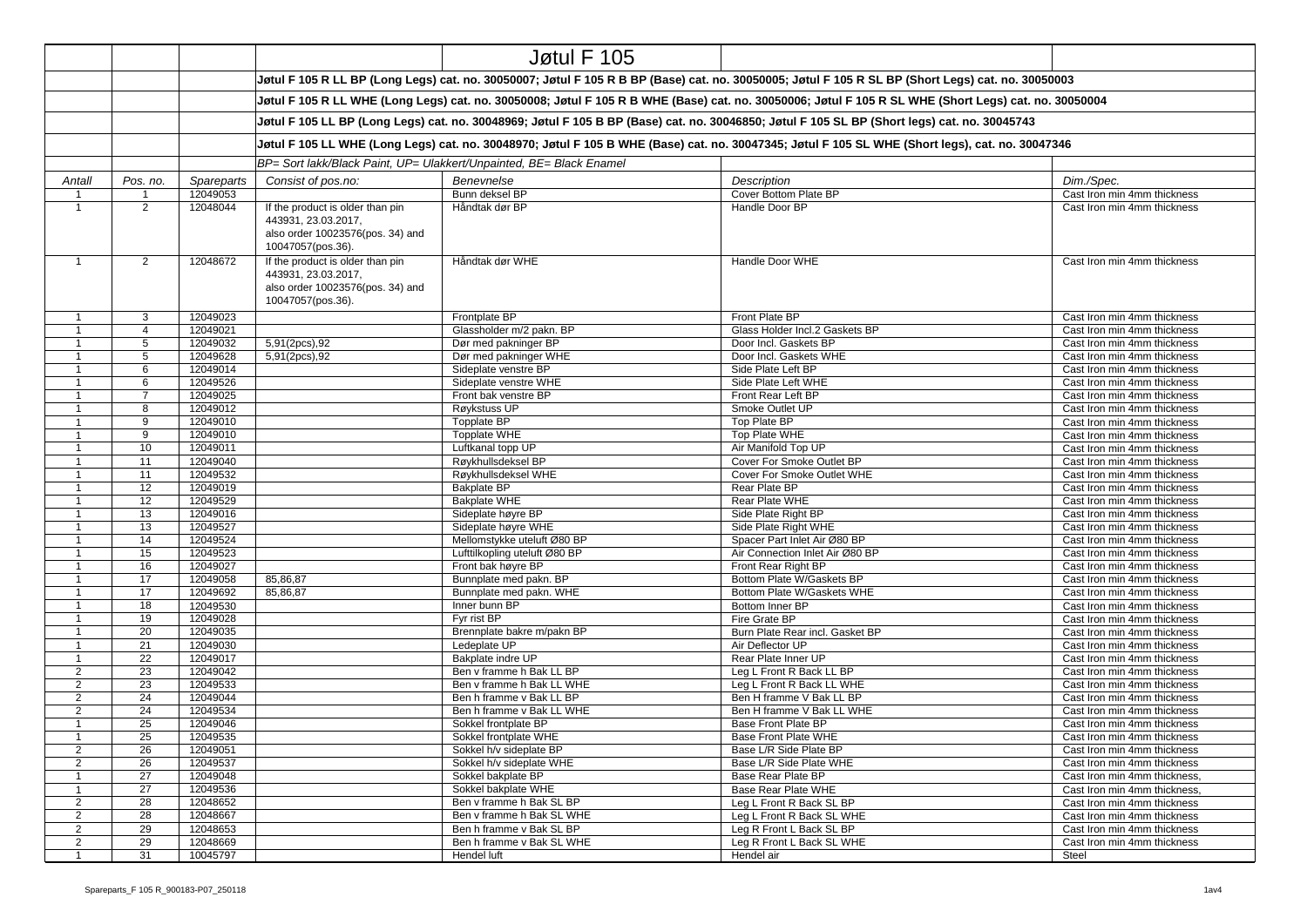|                                  |                     |                        |                                                                                                                                                       | <b>Jøtul F 105</b>                                                                                                                               |                                                                                                                                                    |                                                             |  |  |  |
|----------------------------------|---------------------|------------------------|-------------------------------------------------------------------------------------------------------------------------------------------------------|--------------------------------------------------------------------------------------------------------------------------------------------------|----------------------------------------------------------------------------------------------------------------------------------------------------|-------------------------------------------------------------|--|--|--|
|                                  |                     |                        |                                                                                                                                                       |                                                                                                                                                  | Jøtul F 105 R LL BP (Long Legs) cat. no. 30050007; Jøtul F 105 R B BP (Base) cat. no. 30050005; Jøtul F 105 R SL BP (Short Legs) cat. no. 30050003 |                                                             |  |  |  |
|                                  |                     |                        | Jøtul F 105 R LL WHE (Long Legs) cat. no. 30050008; Jøtul F 105 R B WHE (Base) cat. no. 30050006; Jøtul F 105 R SL WHE (Short Legs) cat. no. 30050004 |                                                                                                                                                  |                                                                                                                                                    |                                                             |  |  |  |
|                                  |                     |                        | Jøtul F 105 LL BP (Long Legs) cat. no. 30048969; Jøtul F 105 B BP (Base) cat. no. 30046850; Jøtul F 105 SL BP (Short legs) cat. no. 30045743          |                                                                                                                                                  |                                                                                                                                                    |                                                             |  |  |  |
|                                  |                     |                        |                                                                                                                                                       | Jøtul F 105 LL WHE (Long Legs) cat. no. 30048970; Jøtul F 105 B WHE (Base) cat. no. 30047345; Jøtul F 105 SL WHE (Short legs), cat. no. 30047346 |                                                                                                                                                    |                                                             |  |  |  |
|                                  |                     |                        |                                                                                                                                                       | BP= Sort lakk/Black Paint, UP= Ulakkert/Unpainted, BE= Black Enamel                                                                              |                                                                                                                                                    |                                                             |  |  |  |
|                                  |                     |                        |                                                                                                                                                       |                                                                                                                                                  |                                                                                                                                                    |                                                             |  |  |  |
| Antall<br>$\overline{1}$         | Pos. no.            | Spareparts<br>12049053 | Consist of pos.no:                                                                                                                                    | Benevnelse<br>Bunn deksel BP                                                                                                                     | Description<br>Cover Bottom Plate BP                                                                                                               | Dim./Spec.                                                  |  |  |  |
| $\overline{1}$                   | $\overline{2}$      | 12048044               | If the product is older than pin                                                                                                                      | Håndtak dør BP                                                                                                                                   | Handle Door BP                                                                                                                                     | Cast Iron min 4mm thickness<br>Cast Iron min 4mm thickness  |  |  |  |
|                                  |                     |                        | 443931, 23.03.2017,<br>also order 10023576(pos. 34) and<br>10047057(pos.36).                                                                          |                                                                                                                                                  |                                                                                                                                                    |                                                             |  |  |  |
| $\overline{1}$                   | $\overline{2}$      | 12048672               | If the product is older than pin<br>443931, 23.03.2017,<br>also order 10023576(pos. 34) and<br>10047057(pos.36).                                      | Håndtak dør WHE                                                                                                                                  | Handle Door WHE                                                                                                                                    | Cast Iron min 4mm thickness                                 |  |  |  |
| $\mathbf{1}$                     | 3                   | 12049023               |                                                                                                                                                       | Frontplate BP                                                                                                                                    | Front Plate BP                                                                                                                                     | Cast Iron min 4mm thickness                                 |  |  |  |
| $\overline{1}$                   | $\overline{4}$      | 12049021               |                                                                                                                                                       | Glassholder m/2 pakn. BP                                                                                                                         | Glass Holder Incl.2 Gaskets BP                                                                                                                     | Cast Iron min 4mm thickness                                 |  |  |  |
| $\overline{1}$                   | 5                   | 12049032               | 5,91(2pcs),92                                                                                                                                         | Dør med pakninger BP                                                                                                                             | Door Incl. Gaskets BP                                                                                                                              | Cast Iron min 4mm thickness                                 |  |  |  |
| $\mathbf{1}$                     | 5                   | 12049628               | 5,91(2pcs),92                                                                                                                                         | Dør med pakninger WHE                                                                                                                            | Door Incl. Gaskets WHE                                                                                                                             | Cast Iron min 4mm thickness                                 |  |  |  |
| $\overline{1}$                   | 6                   | 12049014               |                                                                                                                                                       | Sideplate venstre BP                                                                                                                             | Side Plate Left BP                                                                                                                                 | Cast Iron min 4mm thickness                                 |  |  |  |
| $\overline{1}$                   | 6                   | 12049526               |                                                                                                                                                       | Sideplate venstre WHE                                                                                                                            | Side Plate Left WHE                                                                                                                                | Cast Iron min 4mm thickness                                 |  |  |  |
| $\mathbf{1}$<br>$\overline{1}$   | $\overline{7}$<br>8 | 12049025<br>12049012   |                                                                                                                                                       | Front bak venstre BP<br>Røykstuss UP                                                                                                             | Front Rear Left BP<br>Smoke Outlet UP                                                                                                              | Cast Iron min 4mm thickness<br>Cast Iron min 4mm thickness  |  |  |  |
| $\mathbf{1}$                     | 9                   | 12049010               |                                                                                                                                                       | Topplate BP                                                                                                                                      | Top Plate BP                                                                                                                                       | Cast Iron min 4mm thickness                                 |  |  |  |
| $\overline{1}$                   | 9                   | 12049010               |                                                                                                                                                       | Topplate WHE                                                                                                                                     | Top Plate WHE                                                                                                                                      | Cast Iron min 4mm thickness                                 |  |  |  |
| $\overline{1}$                   | 10                  | 12049011               |                                                                                                                                                       | Luftkanal topp UP                                                                                                                                | Air Manifold Top UP                                                                                                                                | Cast Iron min 4mm thickness                                 |  |  |  |
| $\overline{1}$                   | 11                  | 12049040               |                                                                                                                                                       | Røykhullsdeksel BP                                                                                                                               | Cover For Smoke Outlet BP                                                                                                                          | Cast Iron min 4mm thickness                                 |  |  |  |
| $\overline{1}$                   | 11                  | 12049532               |                                                                                                                                                       | Røykhullsdeksel WHE                                                                                                                              | Cover For Smoke Outlet WHE                                                                                                                         | Cast Iron min 4mm thickness                                 |  |  |  |
| $\mathbf{1}$                     | 12                  | 12049019               |                                                                                                                                                       | <b>Bakplate BP</b>                                                                                                                               | Rear Plate BP                                                                                                                                      | Cast Iron min 4mm thickness                                 |  |  |  |
| $\overline{1}$                   | 12                  | 12049529               |                                                                                                                                                       | <b>Bakplate WHE</b>                                                                                                                              | Rear Plate WHE                                                                                                                                     | Cast Iron min 4mm thickness                                 |  |  |  |
| $\mathbf{1}$                     | 13                  | 12049016               |                                                                                                                                                       | Sideplate høyre BP                                                                                                                               | Side Plate Right BP                                                                                                                                | Cast Iron min 4mm thickness                                 |  |  |  |
| $\overline{1}$                   | 13                  | 12049527               |                                                                                                                                                       | Sideplate høyre WHE                                                                                                                              | Side Plate Right WHE                                                                                                                               | Cast Iron min 4mm thickness                                 |  |  |  |
| $\overline{1}$                   | 14                  | 12049524               |                                                                                                                                                       | Mellomstykke uteluft Ø80 BP                                                                                                                      | Spacer Part Inlet Air Ø80 BP                                                                                                                       | Cast Iron min 4mm thickness                                 |  |  |  |
| $\overline{1}$                   | 15                  | 12049523               |                                                                                                                                                       | Lufttilkopling uteluft Ø80 BP                                                                                                                    | Air Connection Inlet Air Ø80 BP                                                                                                                    | Cast Iron min 4mm thickness                                 |  |  |  |
| $\overline{1}$                   | 16                  | 12049027               |                                                                                                                                                       | Front bak høyre BP                                                                                                                               | Front Rear Right BP                                                                                                                                | Cast Iron min 4mm thickness                                 |  |  |  |
| $\overline{1}$                   | 17<br>17            | 12049058               | 85,86,87                                                                                                                                              | Bunnplate med pakn. BP<br>Bunnplate med pakn. WHE                                                                                                | Bottom Plate W/Gaskets BP                                                                                                                          | Cast Iron min 4mm thickness                                 |  |  |  |
| $\overline{1}$<br>$\overline{1}$ | 18                  | 12049692<br>12049530   | 85,86,87                                                                                                                                              | Inner bunn BP                                                                                                                                    | Bottom Plate W/Gaskets WHE<br>Bottom Inner BP                                                                                                      | Cast Iron min 4mm thickness<br>Cast Iron min 4mm thickness  |  |  |  |
| $\overline{1}$                   | 19                  | 12049028               |                                                                                                                                                       | Fyr rist BP                                                                                                                                      | Fire Grate BP                                                                                                                                      | Cast Iron min 4mm thickness                                 |  |  |  |
| $\overline{1}$                   | 20                  | 12049035               |                                                                                                                                                       | Brennplate bakre m/pakn BP                                                                                                                       | Burn Plate Rear incl. Gasket BP                                                                                                                    | Cast Iron min 4mm thickness                                 |  |  |  |
| $\overline{1}$                   | 21                  | 12049030               |                                                                                                                                                       | Ledeplate UP                                                                                                                                     | Air Deflector UP                                                                                                                                   | Cast Iron min 4mm thickness                                 |  |  |  |
| $\overline{1}$                   | 22                  | 12049017               |                                                                                                                                                       | Bakplate indre UP                                                                                                                                | Rear Plate Inner UP                                                                                                                                | Cast Iron min 4mm thickness                                 |  |  |  |
| $\overline{2}$                   | 23                  | 12049042               |                                                                                                                                                       | Ben v framme h Bak LL BP                                                                                                                         | Leg L Front R Back LL BP                                                                                                                           | Cast Iron min 4mm thickness                                 |  |  |  |
| 2                                | 23                  | 12049533               |                                                                                                                                                       | Ben y framme h Bak LL WHE                                                                                                                        | Leg L Front R Back LL WHE                                                                                                                          | Cast Iron min 4mm thickness                                 |  |  |  |
| $\overline{2}$                   | 24                  | 12049044               |                                                                                                                                                       | Ben h framme v Bak LL BP                                                                                                                         | Ben H framme V Bak LL BP                                                                                                                           | Cast Iron min 4mm thickness                                 |  |  |  |
| 2                                | 24                  | 12049534               |                                                                                                                                                       | Ben h framme v Bak LL WHE                                                                                                                        | Ben H framme V Bak LL WHE                                                                                                                          | Cast Iron min 4mm thickness                                 |  |  |  |
| $\overline{1}$                   | 25                  | 12049046               |                                                                                                                                                       | Sokkel frontplate BP                                                                                                                             | Base Front Plate BP                                                                                                                                | Cast Iron min 4mm thickness                                 |  |  |  |
| $\mathbf{1}$                     | 25                  | 12049535               |                                                                                                                                                       | Sokkel frontplate WHE                                                                                                                            | Base Front Plate WHE                                                                                                                               | Cast Iron min 4mm thickness                                 |  |  |  |
| 2                                | 26                  | 12049051               |                                                                                                                                                       | Sokkel h/v sideplate BP                                                                                                                          | Base L/R Side Plate BP                                                                                                                             | Cast Iron min 4mm thickness                                 |  |  |  |
| $\overline{2}$<br>$\mathbf{1}$   | 26<br>27            | 12049537<br>12049048   |                                                                                                                                                       | Sokkel h/v sideplate WHE<br>Sokkel bakplate BP                                                                                                   | Base L/R Side Plate WHE<br>Base Rear Plate BP                                                                                                      | Cast Iron min 4mm thickness<br>Cast Iron min 4mm thickness, |  |  |  |
| $\mathbf{1}$                     | 27                  | 12049536               |                                                                                                                                                       | Sokkel bakplate WHE                                                                                                                              | Base Rear Plate WHE                                                                                                                                | Cast Iron min 4mm thickness,                                |  |  |  |
| 2                                | 28                  | 12048652               |                                                                                                                                                       | Ben v framme h Bak SL BP                                                                                                                         | Leg L Front R Back SL BP                                                                                                                           | Cast Iron min 4mm thickness                                 |  |  |  |
| $\overline{2}$                   | 28                  | 12048667               |                                                                                                                                                       | Ben v framme h Bak SL WHE                                                                                                                        | Leg L Front R Back SL WHE                                                                                                                          | Cast Iron min 4mm thickness                                 |  |  |  |
| $\overline{2}$                   | 29                  | 12048653               |                                                                                                                                                       | Ben h framme v Bak SL BP                                                                                                                         | Leg R Front L Back SL BP                                                                                                                           | Cast Iron min 4mm thickness                                 |  |  |  |
| $\overline{2}$                   | 29                  | 12048669               |                                                                                                                                                       | Ben h framme v Bak SL WHE                                                                                                                        | Leg R Front L Back SL WHE                                                                                                                          | Cast Iron min 4mm thickness                                 |  |  |  |
| $\mathbf{1}$                     | 31                  | 10045797               |                                                                                                                                                       | Hendel luft                                                                                                                                      | Hendel air                                                                                                                                         | Steel                                                       |  |  |  |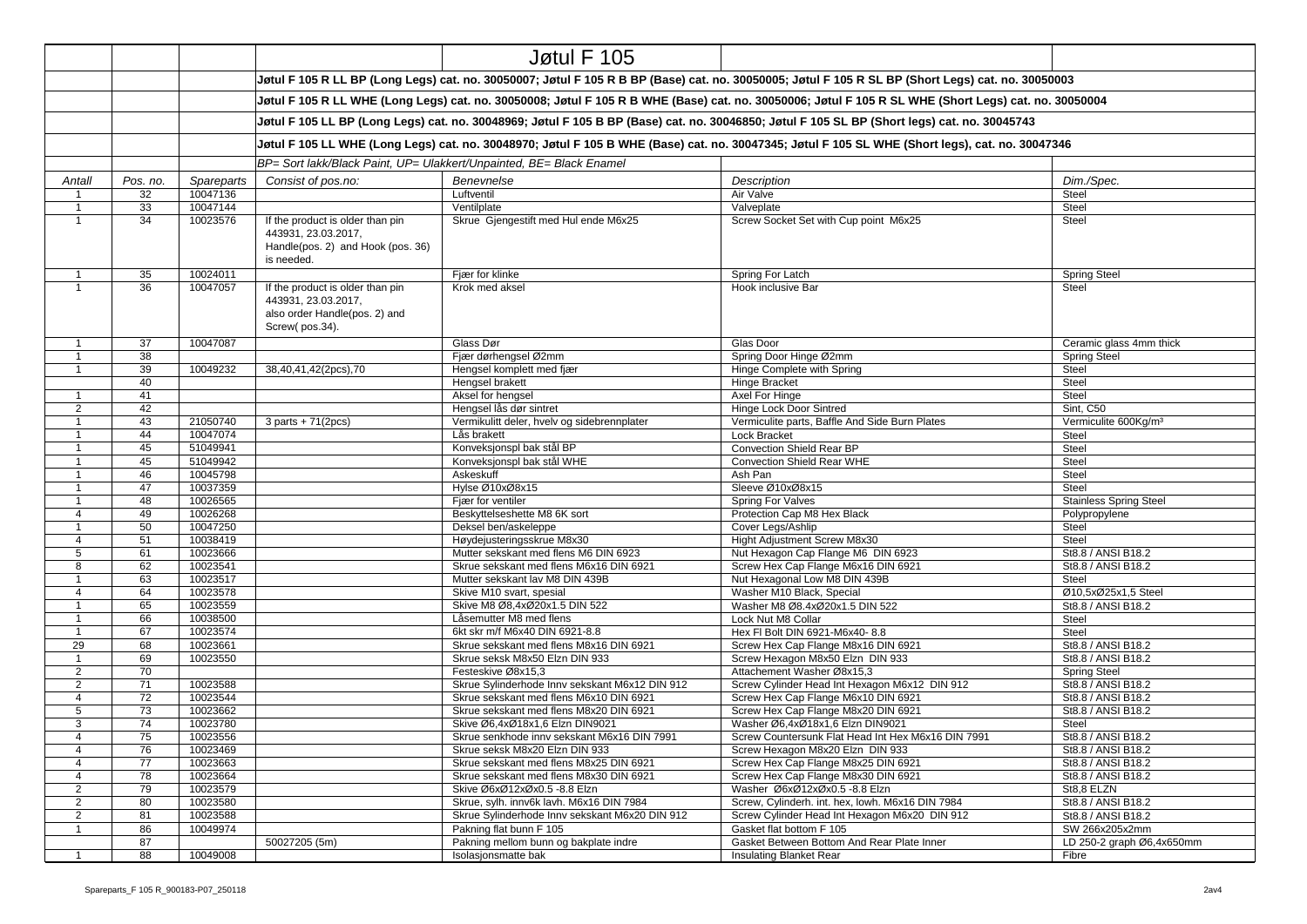|                                |          |                      |                                                                                                                                                       | Jøtul F 105                                                                   |                                                                                                                                                    |                                          |  |  |  |
|--------------------------------|----------|----------------------|-------------------------------------------------------------------------------------------------------------------------------------------------------|-------------------------------------------------------------------------------|----------------------------------------------------------------------------------------------------------------------------------------------------|------------------------------------------|--|--|--|
|                                |          |                      |                                                                                                                                                       |                                                                               | Jøtul F 105 R LL BP (Long Legs) cat. no. 30050007; Jøtul F 105 R B BP (Base) cat. no. 30050005; Jøtul F 105 R SL BP (Short Legs) cat. no. 30050003 |                                          |  |  |  |
|                                |          |                      | Jøtul F 105 R LL WHE (Long Legs) cat. no. 30050008; Jøtul F 105 R B WHE (Base) cat. no. 30050006; Jøtul F 105 R SL WHE (Short Legs) cat. no. 30050004 |                                                                               |                                                                                                                                                    |                                          |  |  |  |
|                                |          |                      | Jøtul F 105 LL BP (Long Legs) cat. no. 30048969; Jøtul F 105 B BP (Base) cat. no. 30046850; Jøtul F 105 SL BP (Short legs) cat. no. 30045743          |                                                                               |                                                                                                                                                    |                                          |  |  |  |
|                                |          |                      | Jøtul F 105 LL WHE (Long Legs) cat. no. 30048970; Jøtul F 105 B WHE (Base) cat. no. 30047345; Jøtul F 105 SL WHE (Short legs), cat. no. 30047346      |                                                                               |                                                                                                                                                    |                                          |  |  |  |
|                                |          |                      |                                                                                                                                                       | BP= Sort lakk/Black Paint, UP= Ulakkert/Unpainted, BE= Black Enamel           |                                                                                                                                                    |                                          |  |  |  |
|                                |          |                      |                                                                                                                                                       |                                                                               |                                                                                                                                                    |                                          |  |  |  |
| Antall                         | Pos. no. | Spareparts           | Consist of pos.no:                                                                                                                                    | Benevnelse                                                                    | Description                                                                                                                                        | Dim./Spec.                               |  |  |  |
| $\overline{1}$                 | 32<br>33 | 10047136<br>10047144 |                                                                                                                                                       | Luftventil                                                                    | Air Valve                                                                                                                                          | Steel                                    |  |  |  |
| $\mathbf{1}$<br>$\overline{1}$ | 34       | 10023576             | If the product is older than pin                                                                                                                      | Ventilplate<br>Skrue Gjengestift med Hul ende M6x25                           | Valveplate<br>Screw Socket Set with Cup point M6x25                                                                                                | <b>Steel</b><br>Steel                    |  |  |  |
|                                |          |                      | 443931, 23.03.2017,<br>Handle(pos. 2) and Hook (pos. 36)<br>is needed.                                                                                |                                                                               |                                                                                                                                                    |                                          |  |  |  |
| $\mathbf{1}$                   | 35       | 10024011             |                                                                                                                                                       | Fjær for klinke                                                               | Spring For Latch                                                                                                                                   | <b>Spring Steel</b>                      |  |  |  |
| $\mathbf{1}$                   | 36       | 10047057             | If the product is older than pin<br>443931, 23.03.2017,<br>also order Handle(pos. 2) and<br>Screw(pos.34).                                            | Krok med aksel                                                                | Hook inclusive Bar                                                                                                                                 | Steel                                    |  |  |  |
| $\mathbf{1}$                   | 37       | 10047087             |                                                                                                                                                       | Glass Dør                                                                     | Glas Door                                                                                                                                          | Ceramic glass 4mm thick                  |  |  |  |
| $\mathbf{1}$                   | 38       |                      |                                                                                                                                                       | Fjær dørhengsel Ø2mm                                                          | Spring Door Hinge Ø2mm                                                                                                                             | <b>Spring Steel</b>                      |  |  |  |
| $\mathbf{1}$                   | 39       | 10049232             | 38,40,41,42(2pcs),70                                                                                                                                  | Hengsel komplett med fjær                                                     | Hinge Complete with Spring                                                                                                                         | Steel                                    |  |  |  |
|                                | 40       |                      |                                                                                                                                                       | Hengsel brakett                                                               | Hinge Bracket                                                                                                                                      | Steel                                    |  |  |  |
| $\mathbf{1}$<br>$\overline{2}$ | 41<br>42 |                      |                                                                                                                                                       | Aksel for hengsel<br>Hengsel lås dør sintret                                  | Axel For Hinge<br>Hinge Lock Door Sintred                                                                                                          | Steel<br>Sint, C50                       |  |  |  |
| $\mathbf{1}$                   | 43       | 21050740             | $3$ parts + 71(2pcs)                                                                                                                                  | Vermikulitt deler, hvelv og sidebrennplater                                   | Vermiculite parts, Baffle And Side Burn Plates                                                                                                     | Vermiculite 600Kg/m <sup>3</sup>         |  |  |  |
| $\mathbf{1}$                   | 44       | 10047074             |                                                                                                                                                       | Lås brakett                                                                   | Lock Bracket                                                                                                                                       | <b>Steel</b>                             |  |  |  |
| $\mathbf{1}$                   | 45       | 51049941             |                                                                                                                                                       | Konveksjonspl bak stål BP                                                     | Convection Shield Rear BP                                                                                                                          | <b>Steel</b>                             |  |  |  |
| $\overline{1}$                 | 45       | 51049942             |                                                                                                                                                       | Konveksjonspl bak stål WHE                                                    | Convection Shield Rear WHE                                                                                                                         | Steel                                    |  |  |  |
| $\overline{1}$                 | 46       | 10045798             |                                                                                                                                                       | Askeskuff                                                                     | Ash Pan                                                                                                                                            | <b>Steel</b>                             |  |  |  |
| $\overline{1}$                 | 47       | 10037359             |                                                                                                                                                       | Hylse Ø10xØ8x15                                                               | Sleeve Ø10xØ8x15                                                                                                                                   | <b>Steel</b>                             |  |  |  |
| $\mathbf{1}$                   | 48       | 10026565             |                                                                                                                                                       | Fjær for ventiler                                                             | Spring For Valves                                                                                                                                  | <b>Stainless Spring Steel</b>            |  |  |  |
| $\overline{4}$                 | 49       | 10026268             |                                                                                                                                                       | Beskyttelseshette M8 6K sort                                                  | Protection Cap M8 Hex Black                                                                                                                        | Polypropylene                            |  |  |  |
| $\overline{1}$                 | 50       | 10047250             |                                                                                                                                                       | Deksel ben/askeleppe                                                          | Cover Legs/Ashlip                                                                                                                                  | Steel                                    |  |  |  |
| $\overline{4}$                 | 51       | 10038419             |                                                                                                                                                       | Høydejusteringsskrue M8x30                                                    | Hight Adjustment Screw M8x30                                                                                                                       | <b>Steel</b>                             |  |  |  |
| $\sqrt{5}$                     | 61       | 10023666             |                                                                                                                                                       | Mutter sekskant med flens M6 DIN 6923                                         | Nut Hexagon Cap Flange M6 DIN 6923                                                                                                                 | St8.8 / ANSI B18.2                       |  |  |  |
| 8                              | 62       | 10023541             |                                                                                                                                                       | Skrue sekskant med flens M6x16 DIN 6921                                       | Screw Hex Cap Flange M6x16 DIN 6921                                                                                                                | St8.8 / ANSI B18.2                       |  |  |  |
| $\mathbf{1}$                   | 63       | 10023517             |                                                                                                                                                       | Mutter sekskant lav M8 DIN 439B                                               | Nut Hexagonal Low M8 DIN 439B                                                                                                                      | Steel                                    |  |  |  |
| $\overline{4}$                 | 64       | 10023578             |                                                                                                                                                       | Skive M10 svart, spesial                                                      | Washer M10 Black, Special                                                                                                                          | Ø10,5xØ25x1,5 Steel                      |  |  |  |
| $\mathbf{1}$                   | 65       | 10023559             |                                                                                                                                                       | Skive M8 Ø8,4xØ20x1.5 DIN 522                                                 | Washer M8 Ø8.4xØ20x1.5 DIN 522                                                                                                                     | St8.8 / ANSI B18.2                       |  |  |  |
| $\mathbf{1}$                   | 66       | 10038500             |                                                                                                                                                       | Låsemutter M8 med flens                                                       | Lock Nut M8 Collar                                                                                                                                 | Steel                                    |  |  |  |
| $\overline{1}$                 | 67       | 10023574             |                                                                                                                                                       | 6kt skr m/f M6x40 DIN 6921-8.8                                                | Hex FI Bolt DIN 6921-M6x40-8.8                                                                                                                     | Steel                                    |  |  |  |
| 29                             | 68       | 10023661             |                                                                                                                                                       | Skrue sekskant med flens M8x16 DIN 6921                                       | Screw Hex Cap Flange M8x16 DIN 6921                                                                                                                | St8.8 / ANSI B18.2                       |  |  |  |
| $\mathbf{1}$                   | 69       | 10023550             |                                                                                                                                                       | Skrue seksk M8x50 Elzn DIN 933                                                | Screw Hexagon M8x50 Elzn DIN 933                                                                                                                   | St8.8 / ANSI B18.2                       |  |  |  |
| $\overline{2}$                 | 70       |                      |                                                                                                                                                       | Festeskive Ø8x15,3                                                            | Attachement Washer Ø8x15,3                                                                                                                         | <b>Spring Steel</b>                      |  |  |  |
| $\overline{2}$                 | 71       | 10023588             |                                                                                                                                                       | Skrue Sylinderhode Innv sekskant M6x12 DIN 912                                | Screw Cylinder Head Int Hexagon M6x12 DIN 912                                                                                                      | St8.8 / ANSI B18.2                       |  |  |  |
| $\overline{4}$                 | 72       | 10023544             |                                                                                                                                                       | Skrue sekskant med flens M6x10 DIN 6921                                       | Screw Hex Cap Flange M6x10 DIN 6921                                                                                                                | St8.8 / ANSI B18.2                       |  |  |  |
| 5<br>3                         | 73<br>74 | 10023662<br>10023780 |                                                                                                                                                       | Skrue sekskant med flens M8x20 DIN 6921                                       | Screw Hex Cap Flange M8x20 DIN 6921                                                                                                                | St8.8 / ANSI B18.2                       |  |  |  |
| $\overline{\mathbf{4}}$        |          |                      |                                                                                                                                                       | Skive Ø6,4xØ18x1,6 Elzn DIN9021                                               | Washer Ø6,4xØ18x1,6 Elzn DIN9021                                                                                                                   | Steel                                    |  |  |  |
| $\overline{4}$                 | 75<br>76 | 10023556<br>10023469 |                                                                                                                                                       | Skrue senkhode innv sekskant M6x16 DIN 7991<br>Skrue seksk M8x20 Elzn DIN 933 | Screw Countersunk Flat Head Int Hex M6x16 DIN 7991<br>Screw Hexagon M8x20 Elzn DIN 933                                                             | St8.8 / ANSI B18.2<br>St8.8 / ANSI B18.2 |  |  |  |
| $\overline{4}$                 | 77       | 10023663             |                                                                                                                                                       | Skrue sekskant med flens M8x25 DIN 6921                                       | Screw Hex Cap Flange M8x25 DIN 6921                                                                                                                | St8.8 / ANSI B18.2                       |  |  |  |
| $\overline{4}$                 | 78       | 10023664             |                                                                                                                                                       | Skrue sekskant med flens M8x30 DIN 6921                                       | Screw Hex Cap Flange M8x30 DIN 6921                                                                                                                | St8.8 / ANSI B18.2                       |  |  |  |
| $\overline{2}$                 | 79       | 10023579             |                                                                                                                                                       | Skive Ø6xØ12xØx0.5 -8.8 Elzn                                                  | Washer Ø6xØ12xØx0.5 -8.8 Elzn                                                                                                                      | St8.8 ELZN                               |  |  |  |
| $\overline{2}$                 | 80       | 10023580             |                                                                                                                                                       | Skrue, sylh. innv6k lavh. M6x16 DIN 7984                                      | Screw, Cylinderh. int. hex, lowh. M6x16 DIN 7984                                                                                                   | St8.8 / ANSI B18.2                       |  |  |  |
| $\overline{2}$                 | 81       | 10023588             |                                                                                                                                                       | Skrue Sylinderhode Innv sekskant M6x20 DIN 912                                | Screw Cylinder Head Int Hexagon M6x20 DIN 912                                                                                                      | St8.8 / ANSI B18.2                       |  |  |  |
| $\mathbf{1}$                   | 86       | 10049974             |                                                                                                                                                       | Pakning flat bunn F 105                                                       | Gasket flat bottom F 105                                                                                                                           | SW 266x205x2mm                           |  |  |  |
|                                | 87       |                      | 50027205 (5m)                                                                                                                                         | Pakning mellom bunn og bakplate indre                                         | Gasket Between Bottom And Rear Plate Inner                                                                                                         | LD 250-2 graph Ø6,4x650mm                |  |  |  |
|                                | 88       | 10049008             |                                                                                                                                                       | Isolasjonsmatte bak                                                           | Insulating Blanket Rear                                                                                                                            | Fibre                                    |  |  |  |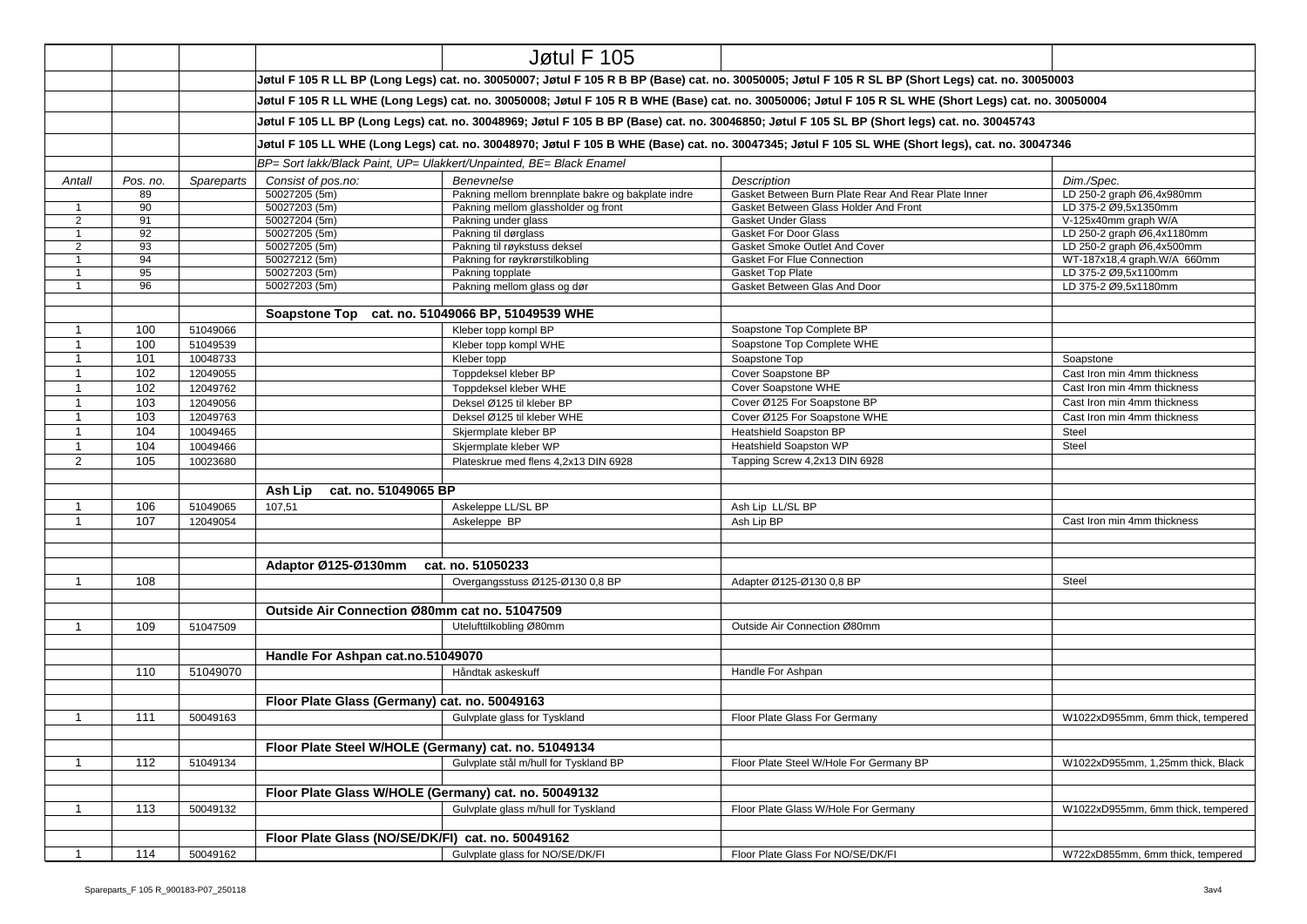|                |          |            |                                                                                                                                                                                                                                                                                                       | Jøtul F 105                                                         |                                                                                                                                                    |                                   |  |  |
|----------------|----------|------------|-------------------------------------------------------------------------------------------------------------------------------------------------------------------------------------------------------------------------------------------------------------------------------------------------------|---------------------------------------------------------------------|----------------------------------------------------------------------------------------------------------------------------------------------------|-----------------------------------|--|--|
|                |          |            |                                                                                                                                                                                                                                                                                                       |                                                                     | Jøtul F 105 R LL BP (Long Legs) cat. no. 30050007; Jøtul F 105 R B BP (Base) cat. no. 30050005; Jøtul F 105 R SL BP (Short Legs) cat. no. 30050003 |                                   |  |  |
|                |          |            | Jøtul F 105 R LL WHE (Long Legs) cat. no. 30050008; Jøtul F 105 R B WHE (Base) cat. no. 30050006; Jøtul F 105 R SL WHE (Short Legs) cat. no. 30050004<br>Jøtul F 105 LL BP (Long Legs) cat. no. 30048969; Jøtul F 105 B BP (Base) cat. no. 30046850; Jøtul F 105 SL BP (Short legs) cat. no. 30045743 |                                                                     |                                                                                                                                                    |                                   |  |  |
|                |          |            |                                                                                                                                                                                                                                                                                                       |                                                                     |                                                                                                                                                    |                                   |  |  |
|                |          |            | Jøtul F 105 LL WHE (Long Legs) cat. no. 30048970; Jøtul F 105 B WHE (Base) cat. no. 30047345; Jøtul F 105 SL WHE (Short legs), cat. no. 30047346                                                                                                                                                      |                                                                     |                                                                                                                                                    |                                   |  |  |
|                |          |            |                                                                                                                                                                                                                                                                                                       | BP= Sort lakk/Black Paint, UP= Ulakkert/Unpainted, BE= Black Enamel |                                                                                                                                                    |                                   |  |  |
| Antall         | Pos. no. | Spareparts | Consist of pos.no:                                                                                                                                                                                                                                                                                    | Benevnelse                                                          | Description                                                                                                                                        | Dim./Spec.                        |  |  |
|                | 89       |            | 50027205 (5m)                                                                                                                                                                                                                                                                                         | Pakning mellom brennplate bakre og bakplate indre                   | Gasket Between Burn Plate Rear And Rear Plate Inner                                                                                                | LD 250-2 graph Ø6,4x980mm         |  |  |
| $\overline{1}$ | 90       |            | 50027203 (5m)                                                                                                                                                                                                                                                                                         | Pakning mellom glassholder og front                                 | Gasket Between Glass Holder And Front                                                                                                              | LD 375-2 Ø9.5x1350mm              |  |  |
| $\overline{2}$ | 91       |            | 50027204 (5m)                                                                                                                                                                                                                                                                                         | Pakning under glass                                                 | <b>Gasket Under Glass</b>                                                                                                                          | V-125x40mm graph W/A              |  |  |
| $\mathbf{1}$   | 92       |            | 50027205 (5m)                                                                                                                                                                                                                                                                                         | Pakning til dørglass                                                | <b>Gasket For Door Glass</b>                                                                                                                       | LD 250-2 graph Ø6,4x1180mm        |  |  |
| $\overline{2}$ | 93       |            | 50027205 (5m)                                                                                                                                                                                                                                                                                         | Pakning til røykstuss deksel                                        | Gasket Smoke Outlet And Cover                                                                                                                      | LD 250-2 graph Ø6,4x500mm         |  |  |
| $\overline{1}$ | 94       |            | 50027212 (5m)                                                                                                                                                                                                                                                                                         | Pakning for røykrørstilkobling                                      | <b>Gasket For Flue Connection</b>                                                                                                                  | WT-187x18,4 graph.W/A 660mm       |  |  |
| $\overline{1}$ | 95       |            | 50027203 (5m)                                                                                                                                                                                                                                                                                         | Pakning topplate                                                    | Gasket Top Plate                                                                                                                                   | LD 375-2 Ø9,5x1100mm              |  |  |
| $\overline{1}$ | 96       |            | 50027203 (5m)                                                                                                                                                                                                                                                                                         | Pakning mellom glass og dør                                         | Gasket Between Glas And Door                                                                                                                       | LD 375-2 Ø9,5x1180mm              |  |  |
|                |          |            |                                                                                                                                                                                                                                                                                                       |                                                                     |                                                                                                                                                    |                                   |  |  |
|                |          |            |                                                                                                                                                                                                                                                                                                       | Soapstone Top cat. no. 51049066 BP, 51049539 WHE                    |                                                                                                                                                    |                                   |  |  |
| $\overline{1}$ | 100      | 51049066   |                                                                                                                                                                                                                                                                                                       | Kleber topp kompl BP                                                | Soapstone Top Complete BP                                                                                                                          |                                   |  |  |
| $\overline{1}$ | 100      | 51049539   |                                                                                                                                                                                                                                                                                                       | Kleber topp kompl WHE                                               | Soapstone Top Complete WHE                                                                                                                         |                                   |  |  |
| $\mathbf 1$    | 101      | 10048733   |                                                                                                                                                                                                                                                                                                       | Kleber topp                                                         | Soapstone Top                                                                                                                                      | Soapstone                         |  |  |
| $\overline{1}$ | 102      | 12049055   |                                                                                                                                                                                                                                                                                                       | Toppdeksel kleber BP                                                | Cover Soapstone BP                                                                                                                                 | Cast Iron min 4mm thickness       |  |  |
| $\overline{1}$ | 102      | 12049762   |                                                                                                                                                                                                                                                                                                       | Toppdeksel kleber WHE                                               | Cover Soapstone WHE                                                                                                                                | Cast Iron min 4mm thickness       |  |  |
| $\mathbf{1}$   | 103      | 12049056   |                                                                                                                                                                                                                                                                                                       | Deksel Ø125 til kleber BP                                           | Cover Ø125 For Soapstone BP                                                                                                                        | Cast Iron min 4mm thickness       |  |  |
| $\overline{1}$ | 103      | 12049763   |                                                                                                                                                                                                                                                                                                       | Deksel Ø125 til kleber WHE                                          | Cover Ø125 For Soapstone WHE                                                                                                                       | Cast Iron min 4mm thickness       |  |  |
| $\overline{1}$ | 104      | 10049465   |                                                                                                                                                                                                                                                                                                       |                                                                     | Heatshield Soapston BP                                                                                                                             | Steel                             |  |  |
| $\mathbf{1}$   |          |            |                                                                                                                                                                                                                                                                                                       | Skjermplate kleber BP                                               | <b>Heatshield Soapston WP</b>                                                                                                                      |                                   |  |  |
|                | 104      | 10049466   |                                                                                                                                                                                                                                                                                                       | Skjermplate kleber WP                                               |                                                                                                                                                    | Steel                             |  |  |
| $\overline{2}$ | 105      | 10023680   |                                                                                                                                                                                                                                                                                                       | Plateskrue med flens 4,2x13 DIN 6928                                | Tapping Screw 4,2x13 DIN 6928                                                                                                                      |                                   |  |  |
|                |          |            | Ash Lip<br>cat. no. 51049065 BP                                                                                                                                                                                                                                                                       |                                                                     |                                                                                                                                                    |                                   |  |  |
| $\overline{1}$ | 106      | 51049065   | 107,51                                                                                                                                                                                                                                                                                                | Askeleppe LL/SL BP                                                  | Ash Lip LL/SL BP                                                                                                                                   |                                   |  |  |
| $\mathbf{1}$   | 107      | 12049054   |                                                                                                                                                                                                                                                                                                       | Askeleppe BP                                                        | Ash Lip BP                                                                                                                                         | Cast Iron min 4mm thickness       |  |  |
|                |          |            |                                                                                                                                                                                                                                                                                                       |                                                                     |                                                                                                                                                    |                                   |  |  |
|                |          |            | Adaptor Ø125-Ø130mm                                                                                                                                                                                                                                                                                   | cat. no. 51050233                                                   |                                                                                                                                                    |                                   |  |  |
|                |          |            |                                                                                                                                                                                                                                                                                                       |                                                                     |                                                                                                                                                    |                                   |  |  |
| $\mathbf{1}$   | 108      |            |                                                                                                                                                                                                                                                                                                       | Overgangsstuss Ø125-Ø130 0,8 BP                                     | Adapter Ø125-Ø130 0,8 BP                                                                                                                           | Steel                             |  |  |
|                |          |            | Outside Air Connection Ø80mm cat no. 51047509                                                                                                                                                                                                                                                         |                                                                     |                                                                                                                                                    |                                   |  |  |
| $\mathbf{1}$   | 109      | 51047509   |                                                                                                                                                                                                                                                                                                       | Utelufttilkobling Ø80mm                                             | Outside Air Connection Ø80mm                                                                                                                       |                                   |  |  |
|                |          |            |                                                                                                                                                                                                                                                                                                       |                                                                     |                                                                                                                                                    |                                   |  |  |
|                |          |            | Handle For Ashpan cat.no.51049070                                                                                                                                                                                                                                                                     |                                                                     |                                                                                                                                                    |                                   |  |  |
|                | 110      | 51049070   |                                                                                                                                                                                                                                                                                                       | Håndtak askeskuff                                                   | Handle For Ashpan                                                                                                                                  |                                   |  |  |
|                |          |            |                                                                                                                                                                                                                                                                                                       |                                                                     |                                                                                                                                                    |                                   |  |  |
|                |          |            | Floor Plate Glass (Germany) cat. no. 50049163                                                                                                                                                                                                                                                         |                                                                     |                                                                                                                                                    |                                   |  |  |
| $\overline{1}$ | 111      | 50049163   |                                                                                                                                                                                                                                                                                                       | Gulvplate glass for Tyskland                                        | Floor Plate Glass For Germany                                                                                                                      | W1022xD955mm, 6mm thick, tempered |  |  |
|                |          |            |                                                                                                                                                                                                                                                                                                       |                                                                     |                                                                                                                                                    |                                   |  |  |
|                |          |            |                                                                                                                                                                                                                                                                                                       | Floor Plate Steel W/HOLE (Germany) cat. no. 51049134                |                                                                                                                                                    |                                   |  |  |
| $\mathbf{1}$   | 112      | 51049134   |                                                                                                                                                                                                                                                                                                       | Gulvplate stål m/hull for Tyskland BP                               | Floor Plate Steel W/Hole For Germany BP                                                                                                            | W1022xD955mm, 1,25mm thick, Black |  |  |
|                |          |            |                                                                                                                                                                                                                                                                                                       | Floor Plate Glass W/HOLE (Germany) cat. no. 50049132                |                                                                                                                                                    |                                   |  |  |
| $\mathbf{1}$   | 113      | 50049132   |                                                                                                                                                                                                                                                                                                       | Gulvplate glass m/hull for Tyskland                                 | Floor Plate Glass W/Hole For Germany                                                                                                               | W1022xD955mm, 6mm thick, tempered |  |  |
|                |          |            |                                                                                                                                                                                                                                                                                                       |                                                                     |                                                                                                                                                    |                                   |  |  |
|                |          |            | Floor Plate Glass (NO/SE/DK/FI) cat. no. 50049162                                                                                                                                                                                                                                                     |                                                                     |                                                                                                                                                    |                                   |  |  |
|                | 114      | 50049162   |                                                                                                                                                                                                                                                                                                       | Gulvplate glass for NO/SE/DK/FI                                     | Floor Plate Glass For NO/SE/DK/FI                                                                                                                  | W722xD855mm, 6mm thick, tempered  |  |  |
|                |          |            |                                                                                                                                                                                                                                                                                                       |                                                                     |                                                                                                                                                    |                                   |  |  |